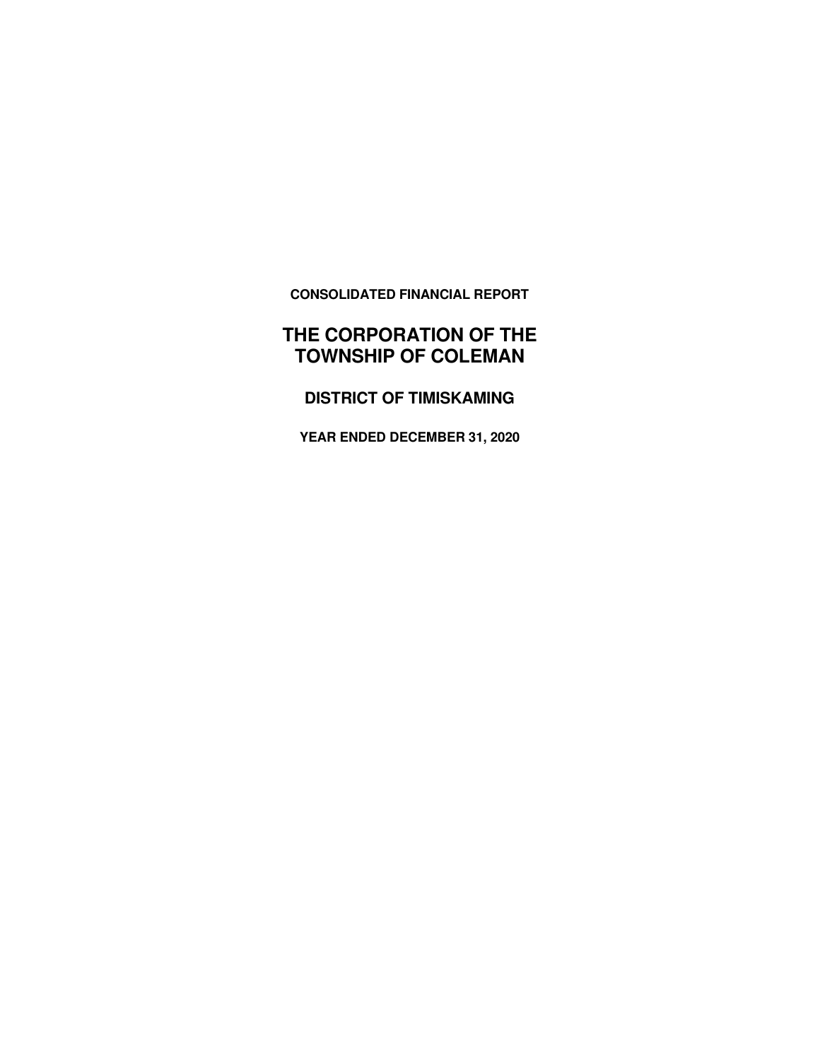**CONSOLIDATED FINANCIAL REPORT** 

# **THE CORPORATION OF THE TOWNSHIP OF COLEMAN**

**DISTRICT OF TIMISKAMING** 

**YEAR ENDED DECEMBER 31, 2020**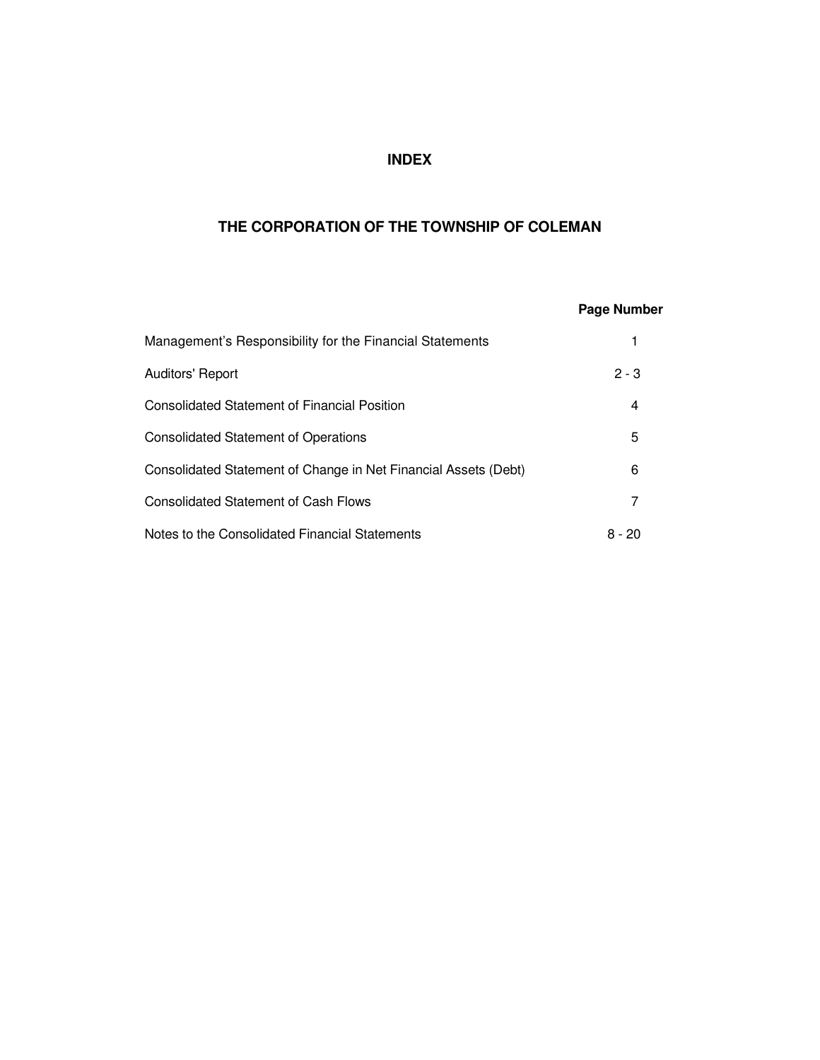# **INDEX**

# **THE CORPORATION OF THE TOWNSHIP OF COLEMAN**

|                                                                 | <b>Page Number</b> |
|-----------------------------------------------------------------|--------------------|
| Management's Responsibility for the Financial Statements        |                    |
| Auditors' Report                                                | $2 - 3$            |
| <b>Consolidated Statement of Financial Position</b>             | 4                  |
| <b>Consolidated Statement of Operations</b>                     | 5                  |
| Consolidated Statement of Change in Net Financial Assets (Debt) | 6                  |
| Consolidated Statement of Cash Flows                            | 7                  |
| Notes to the Consolidated Financial Statements                  | 8 - 20             |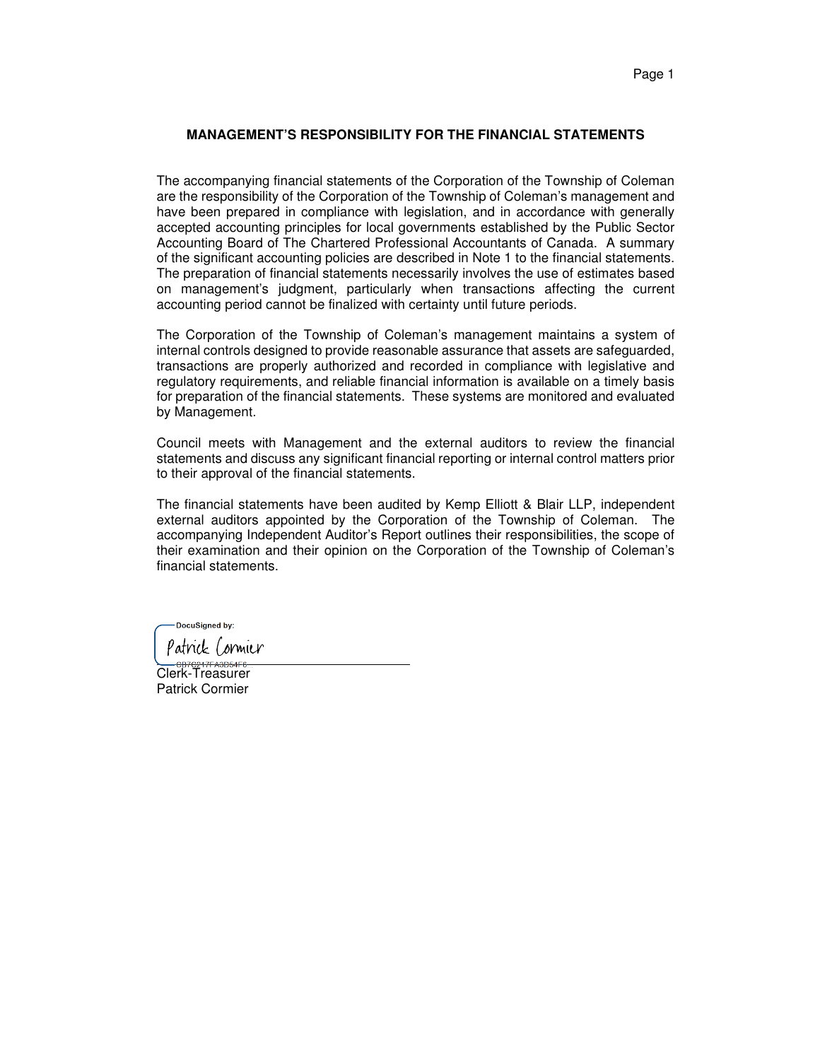#### **MANAGEMENT'S RESPONSIBILITY FOR THE FINANCIAL STATEMENTS**

The accompanying financial statements of the Corporation of the Township of Coleman are the responsibility of the Corporation of the Township of Coleman's management and have been prepared in compliance with legislation, and in accordance with generally accepted accounting principles for local governments established by the Public Sector Accounting Board of The Chartered Professional Accountants of Canada. A summary of the significant accounting policies are described in Note 1 to the financial statements. The preparation of financial statements necessarily involves the use of estimates based on management's judgment, particularly when transactions affecting the current accounting period cannot be finalized with certainty until future periods.

The Corporation of the Township of Coleman's management maintains a system of internal controls designed to provide reasonable assurance that assets are safeguarded, transactions are properly authorized and recorded in compliance with legislative and regulatory requirements, and reliable financial information is available on a timely basis for preparation of the financial statements. These systems are monitored and evaluated by Management.

Council meets with Management and the external auditors to review the financial statements and discuss any significant financial reporting or internal control matters prior to their approval of the financial statements.

The financial statements have been audited by Kemp Elliott & Blair LLP, independent external auditors appointed by the Corporation of the Township of Coleman. The accompanying Independent Auditor's Report outlines their responsibilities, the scope of their examination and their opinion on the Corporation of the Township of Coleman's financial statements.

DocuSigned by:

Patrick Cormier

 $\overline{\phantom{0}}$ Clerk-Treasurer Patrick Cormier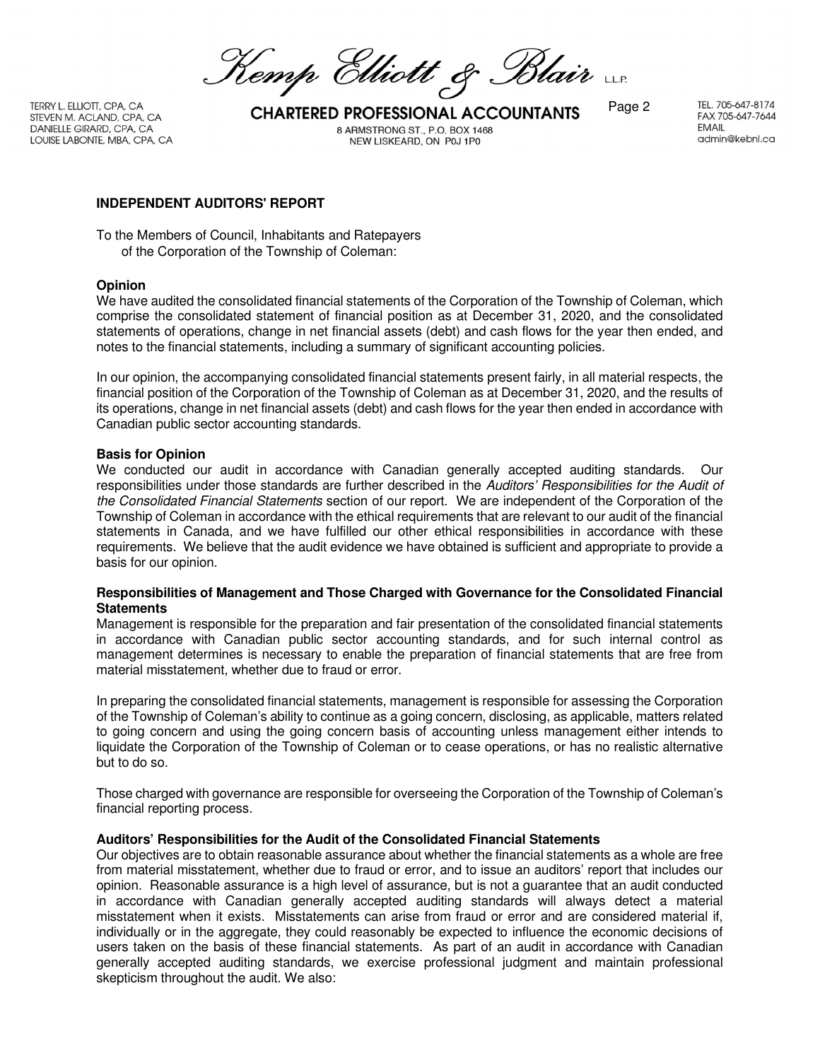Kemp Elliott & Blair

DANIELLE GIRARD, CPA, CA LOUISE LABONTE, MBA, CPA, CA

TERRY L. ELLIOTT, CPA, CA<br>STEVEN M. ACLAND, CPA, CA **CHARTERED PROFESSIONAL ACCOUNTANTS** Page 2 8 ARMSTRONG ST., P.O. BOX 1468 NEW LISKEARD, ON P0J 1P0

TEL. 705-647-8174 FAX 705-647-7644 **EMAIL** admin@kebnl.ca

#### **INDEPENDENT AUDITORS' REPORT**

To the Members of Council, Inhabitants and Ratepayers of the Corporation of the Township of Coleman:

#### **Opinion**

We have audited the consolidated financial statements of the Corporation of the Township of Coleman, which comprise the consolidated statement of financial position as at December 31, 2020, and the consolidated statements of operations, change in net financial assets (debt) and cash flows for the year then ended, and notes to the financial statements, including a summary of significant accounting policies.

In our opinion, the accompanying consolidated financial statements present fairly, in all material respects, the financial position of the Corporation of the Township of Coleman as at December 31, 2020, and the results of its operations, change in net financial assets (debt) and cash flows for the year then ended in accordance with Canadian public sector accounting standards.

#### **Basis for Opinion**

We conducted our audit in accordance with Canadian generally accepted auditing standards. Our responsibilities under those standards are further described in the Auditors' Responsibilities for the Audit of the Consolidated Financial Statements section of our report. We are independent of the Corporation of the Township of Coleman in accordance with the ethical requirements that are relevant to our audit of the financial statements in Canada, and we have fulfilled our other ethical responsibilities in accordance with these requirements. We believe that the audit evidence we have obtained is sufficient and appropriate to provide a basis for our opinion.

#### **Responsibilities of Management and Those Charged with Governance for the Consolidated Financial Statements**

Management is responsible for the preparation and fair presentation of the consolidated financial statements in accordance with Canadian public sector accounting standards, and for such internal control as management determines is necessary to enable the preparation of financial statements that are free from material misstatement, whether due to fraud or error.

In preparing the consolidated financial statements, management is responsible for assessing the Corporation of the Township of Coleman's ability to continue as a going concern, disclosing, as applicable, matters related to going concern and using the going concern basis of accounting unless management either intends to liquidate the Corporation of the Township of Coleman or to cease operations, or has no realistic alternative but to do so.

Those charged with governance are responsible for overseeing the Corporation of the Township of Coleman's financial reporting process.

#### **Auditors' Responsibilities for the Audit of the Consolidated Financial Statements**

Our objectives are to obtain reasonable assurance about whether the financial statements as a whole are free from material misstatement, whether due to fraud or error, and to issue an auditors' report that includes our opinion. Reasonable assurance is a high level of assurance, but is not a guarantee that an audit conducted in accordance with Canadian generally accepted auditing standards will always detect a material misstatement when it exists. Misstatements can arise from fraud or error and are considered material if, individually or in the aggregate, they could reasonably be expected to influence the economic decisions of users taken on the basis of these financial statements. As part of an audit in accordance with Canadian generally accepted auditing standards, we exercise professional judgment and maintain professional skepticism throughout the audit. We also: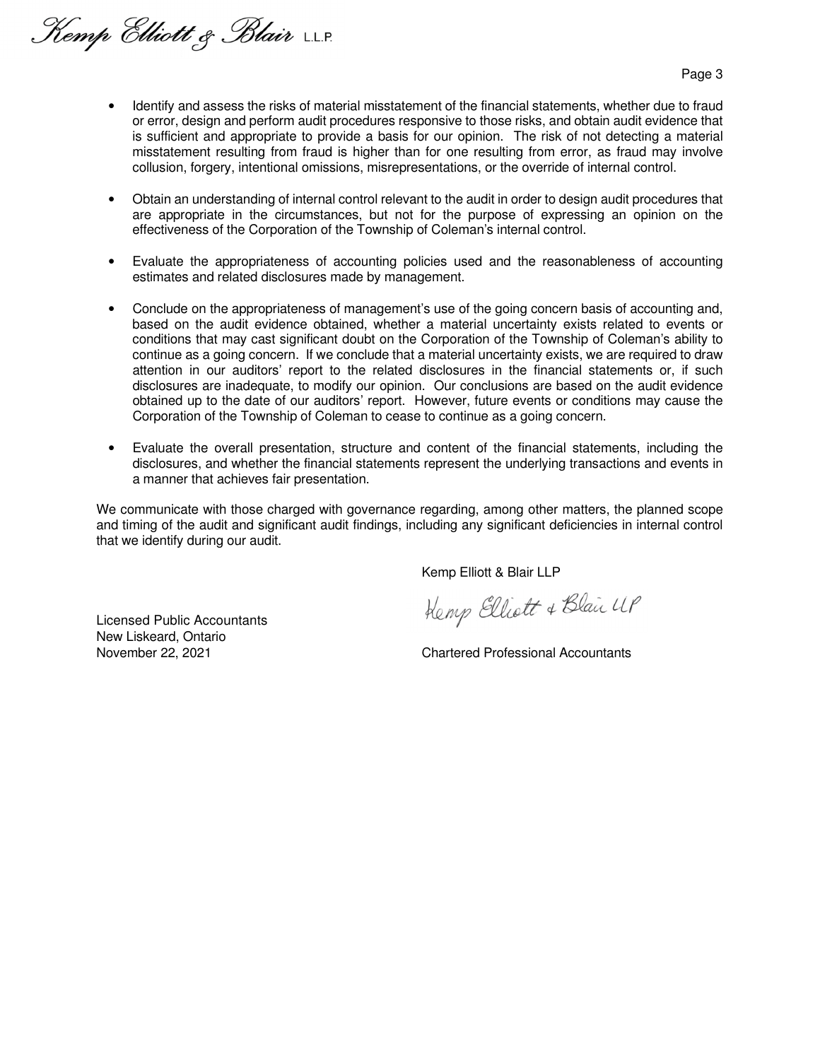Kemp Elliott & Blair LLP.

Page 3

- Identify and assess the risks of material misstatement of the financial statements, whether due to fraud or error, design and perform audit procedures responsive to those risks, and obtain audit evidence that is sufficient and appropriate to provide a basis for our opinion. The risk of not detecting a material misstatement resulting from fraud is higher than for one resulting from error, as fraud may involve collusion, forgery, intentional omissions, misrepresentations, or the override of internal control.
- Obtain an understanding of internal control relevant to the audit in order to design audit procedures that are appropriate in the circumstances, but not for the purpose of expressing an opinion on the effectiveness of the Corporation of the Township of Coleman's internal control.
- Evaluate the appropriateness of accounting policies used and the reasonableness of accounting estimates and related disclosures made by management.
- Conclude on the appropriateness of management's use of the going concern basis of accounting and, based on the audit evidence obtained, whether a material uncertainty exists related to events or conditions that may cast significant doubt on the Corporation of the Township of Coleman's ability to continue as a going concern. If we conclude that a material uncertainty exists, we are required to draw attention in our auditors' report to the related disclosures in the financial statements or, if such disclosures are inadequate, to modify our opinion. Our conclusions are based on the audit evidence obtained up to the date of our auditors' report. However, future events or conditions may cause the Corporation of the Township of Coleman to cease to continue as a going concern.
- Evaluate the overall presentation, structure and content of the financial statements, including the disclosures, and whether the financial statements represent the underlying transactions and events in a manner that achieves fair presentation.

We communicate with those charged with governance regarding, among other matters, the planned scope and timing of the audit and significant audit findings, including any significant deficiencies in internal control that we identify during our audit.

Kemp Elliott & Blair LLP

Licensed Public Accountants New Liskeard, Ontario

Kemp Elliott & Blair UP

November 22, 2021 Chartered Professional Accountants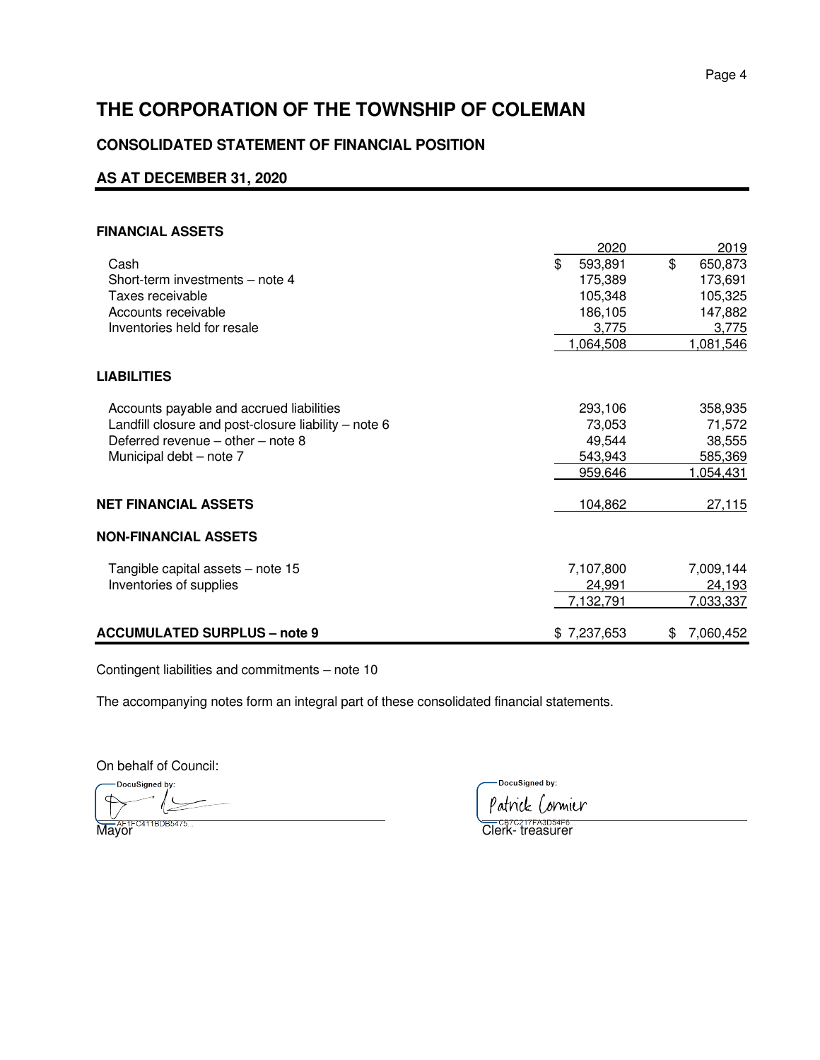# **CONSOLIDATED STATEMENT OF FINANCIAL POSITION**

# **AS AT DECEMBER 31, 2020**

#### **FINANCIAL ASSETS**

|                                                      | 2020          | 2019           |
|------------------------------------------------------|---------------|----------------|
| Cash                                                 | \$<br>593,891 | \$<br>650,873  |
| Short-term investments - note 4                      | 175,389       | 173,691        |
| Taxes receivable                                     | 105,348       | 105,325        |
| Accounts receivable                                  | 186,105       | 147,882        |
| Inventories held for resale                          | 3,775         | 3,775          |
|                                                      | 1,064,508     | 1,081,546      |
| <b>LIABILITIES</b>                                   |               |                |
| Accounts payable and accrued liabilities             | 293,106       | 358,935        |
| Landfill closure and post-closure liability - note 6 | 73,053        | 71,572         |
| Deferred revenue $-$ other $-$ note 8                | 49,544        | 38,555         |
| Municipal debt - note 7                              | 543,943       | 585,369        |
|                                                      | 959,646       | 1,054,431      |
| NET FINANCIAL ASSETS                                 | 104,862       | 27,115         |
| NON-FINANCIAL ASSETS                                 |               |                |
| Tangible capital assets - note 15                    | 7,107,800     | 7,009,144      |
| Inventories of supplies                              | 24,991        | 24,193         |
|                                                      | 7,132,791     | 7,033,337      |
| <b>ACCUMULATED SURPLUS - note 9</b>                  | \$7,237,653   | 7,060,452<br>S |

Contingent liabilities and commitments – note 10

The accompanying notes form an integral part of these consolidated financial statements.

On behalf of Council:

DocuSigned by:  $\overline{\mathbf{C}}$ l

DocuSigned by:

Patrick Cormier

Mayor Clerk- treasurer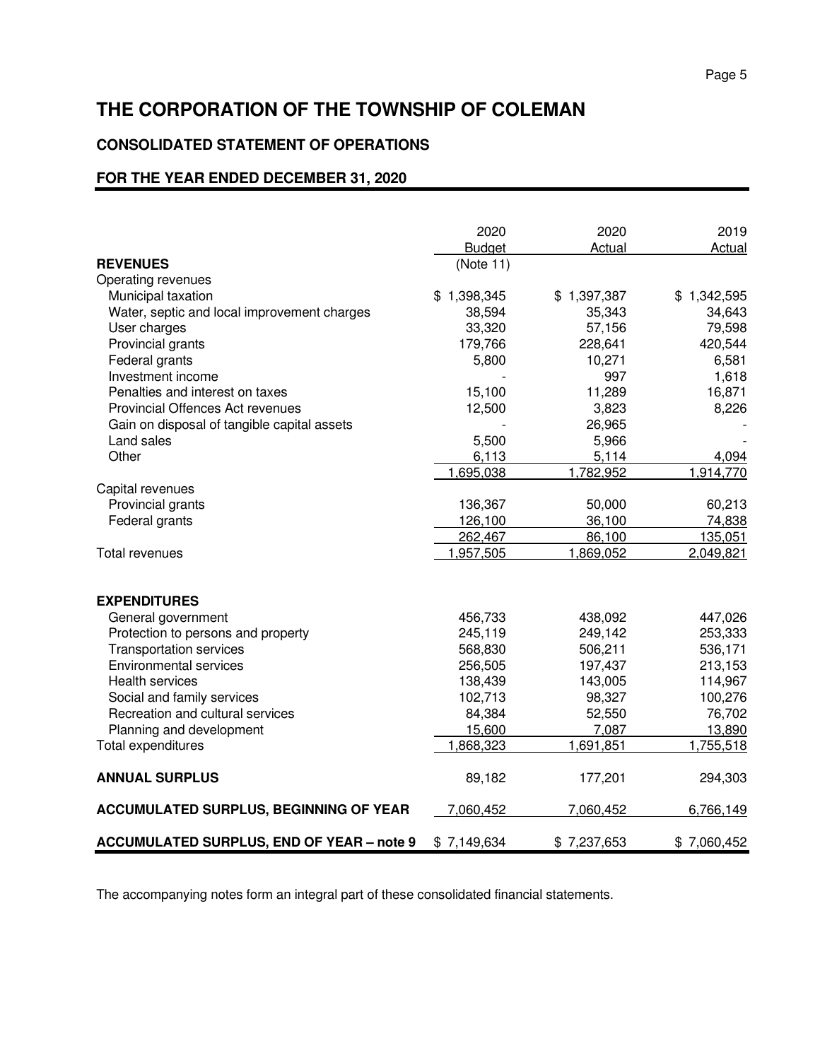#### Page 5 and the state of the state of the state of the state of the state of the state of the state of the state of the state of the state of the state of the state of the state of the state of the state of the state of the

# **THE CORPORATION OF THE TOWNSHIP OF COLEMAN**

# **CONSOLIDATED STATEMENT OF OPERATIONS**

# **FOR THE YEAR ENDED DECEMBER 31, 2020**

|                                                  | 2020          | 2020        | 2019        |
|--------------------------------------------------|---------------|-------------|-------------|
|                                                  | <b>Budget</b> | Actual      | Actual      |
| <b>REVENUES</b>                                  | (Note 11)     |             |             |
| Operating revenues                               |               |             |             |
| Municipal taxation                               | \$1,398,345   | \$1,397,387 | \$1,342,595 |
| Water, septic and local improvement charges      | 38,594        | 35,343      | 34,643      |
| User charges                                     | 33,320        | 57,156      | 79,598      |
| Provincial grants                                | 179,766       | 228,641     | 420,544     |
| Federal grants                                   | 5,800         | 10,271      | 6,581       |
| Investment income                                |               | 997         | 1,618       |
| Penalties and interest on taxes                  | 15,100        | 11,289      | 16,871      |
| Provincial Offences Act revenues                 | 12,500        | 3,823       | 8,226       |
| Gain on disposal of tangible capital assets      |               | 26,965      |             |
| Land sales                                       | 5,500         | 5,966       |             |
| Other                                            | 6,113         | 5,114       | 4,094       |
|                                                  | 1,695,038     | 1,782,952   | 1,914,770   |
| Capital revenues                                 |               |             |             |
| Provincial grants                                | 136,367       | 50,000      | 60,213      |
| Federal grants                                   | 126,100       | 36,100      | 74,838      |
|                                                  | 262,467       | 86,100      | 135,051     |
| <b>Total revenues</b>                            | 1,957,505     | 1,869,052   | 2,049,821   |
|                                                  |               |             |             |
| <b>EXPENDITURES</b>                              |               |             |             |
| General government                               | 456,733       | 438,092     | 447,026     |
| Protection to persons and property               | 245,119       | 249,142     | 253,333     |
| <b>Transportation services</b>                   | 568,830       | 506,211     | 536,171     |
| <b>Environmental services</b>                    | 256,505       | 197,437     | 213,153     |
| <b>Health services</b>                           | 138,439       | 143,005     | 114,967     |
| Social and family services                       | 102,713       | 98,327      | 100,276     |
| Recreation and cultural services                 | 84,384        | 52,550      | 76,702      |
| Planning and development                         | 15,600        | 7,087       | 13,890      |
| Total expenditures                               | 1,868,323     | 1,691,851   | 1,755,518   |
| <b>ANNUAL SURPLUS</b>                            | 89,182        | 177,201     | 294,303     |
| <b>ACCUMULATED SURPLUS, BEGINNING OF YEAR</b>    | 7,060,452     | 7,060,452   | 6,766,149   |
| <b>ACCUMULATED SURPLUS, END OF YEAR - note 9</b> | \$7,149,634   | \$7,237,653 | \$7,060,452 |

The accompanying notes form an integral part of these consolidated financial statements.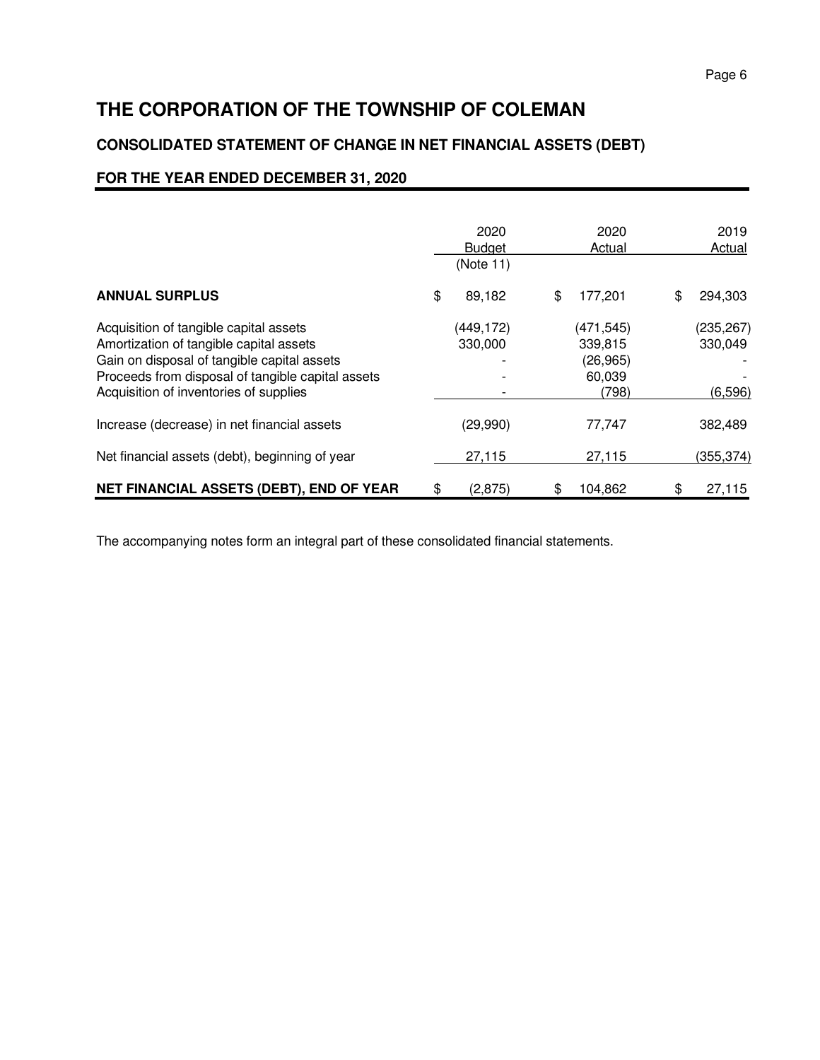# **CONSOLIDATED STATEMENT OF CHANGE IN NET FINANCIAL ASSETS (DEBT)**

# **FOR THE YEAR ENDED DECEMBER 31, 2020**

|                                                                                                                                                                                                                                 | 2020<br><b>Budget</b><br>(Note 11) | 2020<br>Actual                                        | 2019<br>Actual                    |
|---------------------------------------------------------------------------------------------------------------------------------------------------------------------------------------------------------------------------------|------------------------------------|-------------------------------------------------------|-----------------------------------|
| <b>ANNUAL SURPLUS</b>                                                                                                                                                                                                           | \$<br>89,182                       | \$<br>177,201                                         | \$<br>294,303                     |
| Acquisition of tangible capital assets<br>Amortization of tangible capital assets<br>Gain on disposal of tangible capital assets<br>Proceeds from disposal of tangible capital assets<br>Acquisition of inventories of supplies | (449, 172)<br>330,000              | (471, 545)<br>339,815<br>(26, 965)<br>60,039<br>(798) | (235, 267)<br>330,049<br>(6, 596) |
| Increase (decrease) in net financial assets                                                                                                                                                                                     | (29,990)                           | 77,747                                                | 382,489                           |
| Net financial assets (debt), beginning of year                                                                                                                                                                                  | 27,115                             | 27,115                                                | (355, 374)                        |
| NET FINANCIAL ASSETS (DEBT), END OF YEAR                                                                                                                                                                                        | \$<br>(2, 875)                     | \$<br>104,862                                         | \$<br>27,115                      |

The accompanying notes form an integral part of these consolidated financial statements.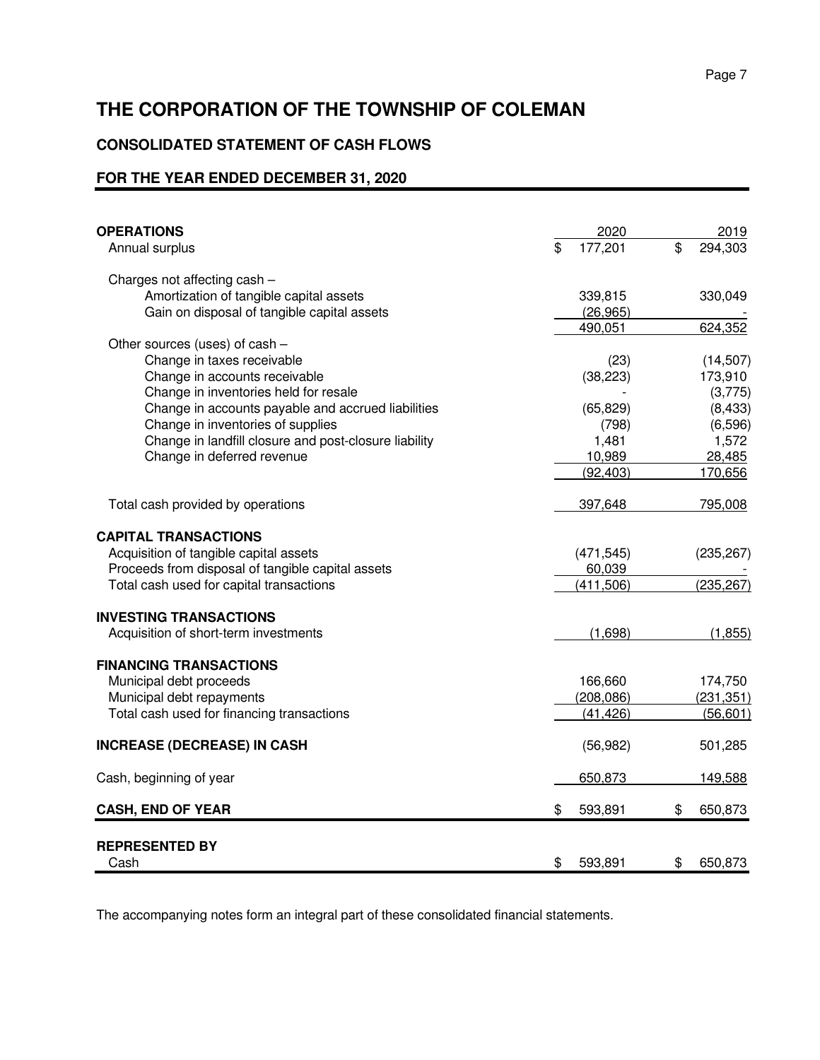# **CONSOLIDATED STATEMENT OF CASH FLOWS**

# **FOR THE YEAR ENDED DECEMBER 31, 2020**

| <b>OPERATIONS</b><br>Annual surplus                   | \$<br>2020<br>177,201 | \$<br>2019<br>294,303 |
|-------------------------------------------------------|-----------------------|-----------------------|
| Charges not affecting cash -                          |                       |                       |
| Amortization of tangible capital assets               | 339,815               | 330,049               |
| Gain on disposal of tangible capital assets           | (26, 965)             |                       |
|                                                       | 490,051               | 624,352               |
| Other sources (uses) of cash -                        |                       |                       |
| Change in taxes receivable                            | (23)                  | (14, 507)             |
| Change in accounts receivable                         | (38, 223)             | 173,910               |
| Change in inventories held for resale                 |                       | (3,775)               |
| Change in accounts payable and accrued liabilities    | (65, 829)             | (8, 433)              |
| Change in inventories of supplies                     | (798)                 | (6,596)               |
| Change in landfill closure and post-closure liability | 1,481                 | 1,572                 |
| Change in deferred revenue                            | 10,989                | 28,485                |
|                                                       | (92, 403)             | 170,656               |
| Total cash provided by operations                     | 397,648               | 795,008               |
| <b>CAPITAL TRANSACTIONS</b>                           |                       |                       |
| Acquisition of tangible capital assets                | (471, 545)            | (235, 267)            |
| Proceeds from disposal of tangible capital assets     | 60,039                |                       |
| Total cash used for capital transactions              | (411,506)             | (235, 267)            |
| <b>INVESTING TRANSACTIONS</b>                         |                       |                       |
| Acquisition of short-term investments                 | (1,698)               | (1, 855)              |
|                                                       |                       |                       |
| <b>FINANCING TRANSACTIONS</b>                         |                       |                       |
| Municipal debt proceeds                               | 166,660               | 174,750               |
| Municipal debt repayments                             | (208, 086)            | (231, 351)            |
| Total cash used for financing transactions            | (41, 426)             | (56, 601)             |
| <b>INCREASE (DECREASE) IN CASH</b>                    | (56, 982)             | 501,285               |
| Cash, beginning of year                               | 650,873               | 149,588               |
| <b>CASH, END OF YEAR</b>                              | \$<br>593,891         | \$<br>650,873         |
| <b>REPRESENTED BY</b>                                 |                       |                       |
| Cash                                                  | \$<br>593,891         | \$<br>650,873         |

The accompanying notes form an integral part of these consolidated financial statements.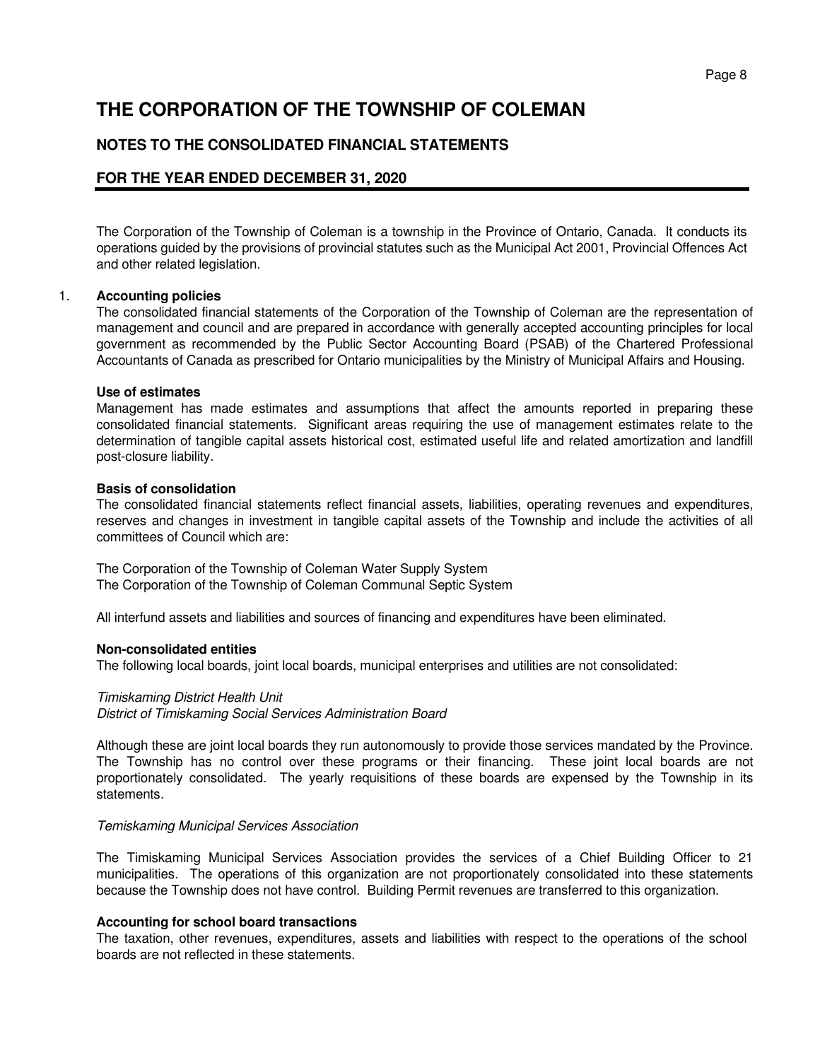### **NOTES TO THE CONSOLIDATED FINANCIAL STATEMENTS**

### **FOR THE YEAR ENDED DECEMBER 31, 2020**

 The Corporation of the Township of Coleman is a township in the Province of Ontario, Canada. It conducts its operations guided by the provisions of provincial statutes such as the Municipal Act 2001, Provincial Offences Act and other related legislation.

#### 1. **Accounting policies**

The consolidated financial statements of the Corporation of the Township of Coleman are the representation of management and council and are prepared in accordance with generally accepted accounting principles for local government as recommended by the Public Sector Accounting Board (PSAB) of the Chartered Professional Accountants of Canada as prescribed for Ontario municipalities by the Ministry of Municipal Affairs and Housing.

#### **Use of estimates**

Management has made estimates and assumptions that affect the amounts reported in preparing these consolidated financial statements. Significant areas requiring the use of management estimates relate to the determination of tangible capital assets historical cost, estimated useful life and related amortization and landfill post-closure liability.

#### **Basis of consolidation**

The consolidated financial statements reflect financial assets, liabilities, operating revenues and expenditures, reserves and changes in investment in tangible capital assets of the Township and include the activities of all committees of Council which are:

The Corporation of the Township of Coleman Water Supply System The Corporation of the Township of Coleman Communal Septic System

All interfund assets and liabilities and sources of financing and expenditures have been eliminated.

#### **Non-consolidated entities**

The following local boards, joint local boards, municipal enterprises and utilities are not consolidated:

#### Timiskaming District Health Unit

District of Timiskaming Social Services Administration Board

Although these are joint local boards they run autonomously to provide those services mandated by the Province. The Township has no control over these programs or their financing. These joint local boards are not proportionately consolidated. The yearly requisitions of these boards are expensed by the Township in its statements.

#### Temiskaming Municipal Services Association

The Timiskaming Municipal Services Association provides the services of a Chief Building Officer to 21 municipalities. The operations of this organization are not proportionately consolidated into these statements because the Township does not have control. Building Permit revenues are transferred to this organization.

#### **Accounting for school board transactions**

The taxation, other revenues, expenditures, assets and liabilities with respect to the operations of the school boards are not reflected in these statements.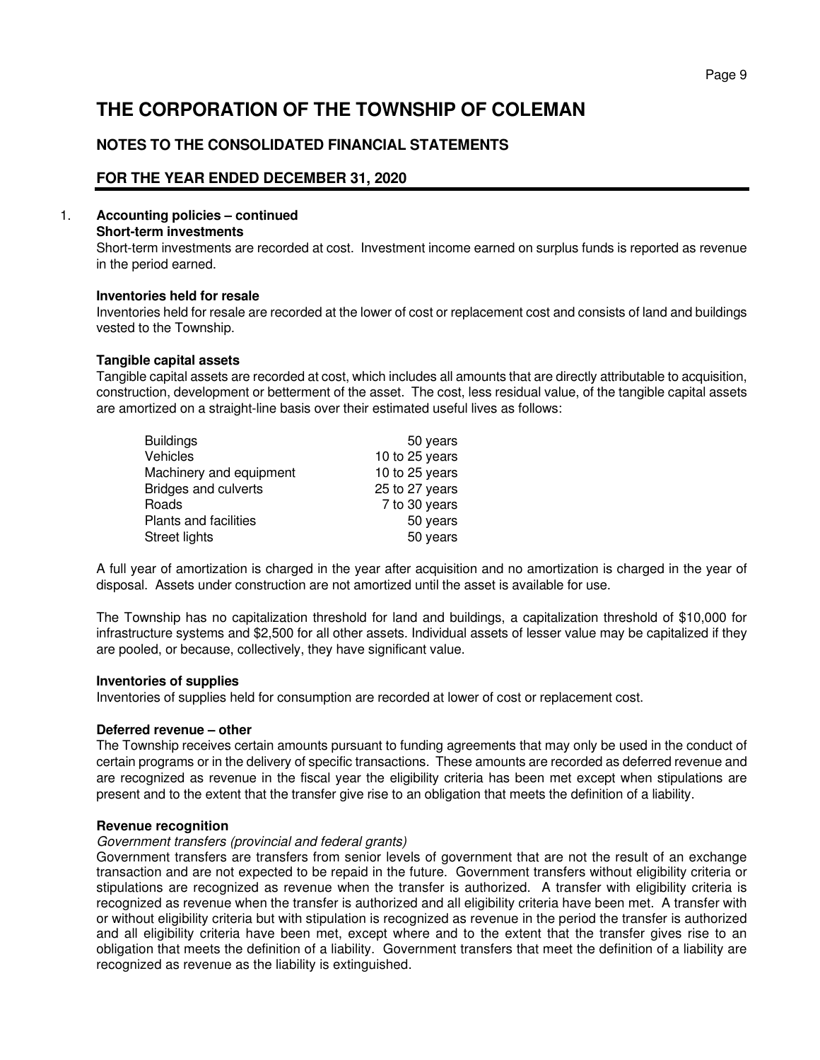# **NOTES TO THE CONSOLIDATED FINANCIAL STATEMENTS**

# **FOR THE YEAR ENDED DECEMBER 31, 2020**

### 1. **Accounting policies – continued**

#### **Short-term investments**

 Short-term investments are recorded at cost. Investment income earned on surplus funds is reported as revenue in the period earned.

#### **Inventories held for resale**

 Inventories held for resale are recorded at the lower of cost or replacement cost and consists of land and buildings vested to the Township.

#### **Tangible capital assets**

Tangible capital assets are recorded at cost, which includes all amounts that are directly attributable to acquisition, construction, development or betterment of the asset. The cost, less residual value, of the tangible capital assets are amortized on a straight-line basis over their estimated useful lives as follows:

| <b>Buildings</b>             | 50 years       |
|------------------------------|----------------|
| Vehicles                     | 10 to 25 years |
| Machinery and equipment      | 10 to 25 years |
| <b>Bridges and culverts</b>  | 25 to 27 years |
| Roads                        | 7 to 30 years  |
| <b>Plants and facilities</b> | 50 years       |
| Street lights                | 50 years       |

A full year of amortization is charged in the year after acquisition and no amortization is charged in the year of disposal. Assets under construction are not amortized until the asset is available for use.

The Township has no capitalization threshold for land and buildings, a capitalization threshold of \$10,000 for infrastructure systems and \$2,500 for all other assets. Individual assets of lesser value may be capitalized if they are pooled, or because, collectively, they have significant value.

#### **Inventories of supplies**

Inventories of supplies held for consumption are recorded at lower of cost or replacement cost.

#### **Deferred revenue – other**

 The Township receives certain amounts pursuant to funding agreements that may only be used in the conduct of certain programs or in the delivery of specific transactions. These amounts are recorded as deferred revenue and are recognized as revenue in the fiscal year the eligibility criteria has been met except when stipulations are present and to the extent that the transfer give rise to an obligation that meets the definition of a liability.

#### **Revenue recognition**

#### Government transfers (provincial and federal grants)

Government transfers are transfers from senior levels of government that are not the result of an exchange transaction and are not expected to be repaid in the future. Government transfers without eligibility criteria or stipulations are recognized as revenue when the transfer is authorized. A transfer with eligibility criteria is recognized as revenue when the transfer is authorized and all eligibility criteria have been met. A transfer with or without eligibility criteria but with stipulation is recognized as revenue in the period the transfer is authorized and all eligibility criteria have been met, except where and to the extent that the transfer gives rise to an obligation that meets the definition of a liability. Government transfers that meet the definition of a liability are recognized as revenue as the liability is extinguished.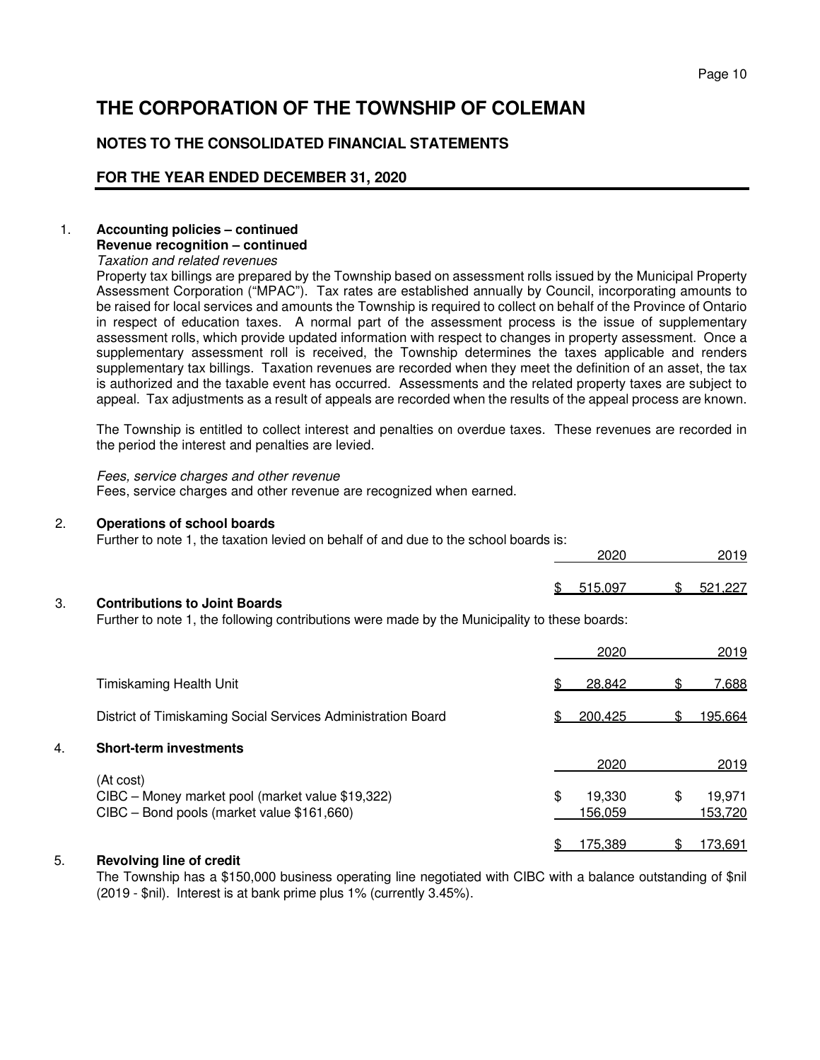# **NOTES TO THE CONSOLIDATED FINANCIAL STATEMENTS**

## **FOR THE YEAR ENDED DECEMBER 31, 2020**

#### 1. **Accounting policies – continued Revenue recognition – continued**

Taxation and related revenues

Property tax billings are prepared by the Township based on assessment rolls issued by the Municipal Property Assessment Corporation ("MPAC"). Tax rates are established annually by Council, incorporating amounts to be raised for local services and amounts the Township is required to collect on behalf of the Province of Ontario in respect of education taxes. A normal part of the assessment process is the issue of supplementary assessment rolls, which provide updated information with respect to changes in property assessment. Once a supplementary assessment roll is received, the Township determines the taxes applicable and renders supplementary tax billings. Taxation revenues are recorded when they meet the definition of an asset, the tax is authorized and the taxable event has occurred. Assessments and the related property taxes are subject to appeal. Tax adjustments as a result of appeals are recorded when the results of the appeal process are known.

The Township is entitled to collect interest and penalties on overdue taxes. These revenues are recorded in the period the interest and penalties are levied.

#### Fees, service charges and other revenue

Fees, service charges and other revenue are recognized when earned.

#### 2. **Operations of school boards**

Further to note 1, the taxation levied on behalf of and due to the school boards is:

|    |                                      |   | 2020    |     | 2019    |
|----|--------------------------------------|---|---------|-----|---------|
|    |                                      | ፍ | 515.097 | \$. | 521.227 |
| 3. | <b>Contributions to Joint Boards</b> |   |         |     |         |

Further to note 1, the following contributions were made by the Municipality to these boards:

|    |                                                                                                             | 2020                    | 2019                    |
|----|-------------------------------------------------------------------------------------------------------------|-------------------------|-------------------------|
|    | <b>Timiskaming Health Unit</b>                                                                              | 28,842                  | 7,688                   |
|    | District of Timiskaming Social Services Administration Board                                                | 200.425                 | 195,664                 |
| 4. | <b>Short-term investments</b>                                                                               |                         |                         |
|    |                                                                                                             | 2020                    | 2019                    |
|    | (At cost)<br>CIBC - Money market pool (market value \$19,322)<br>CIBC - Bond pools (market value \$161,660) | \$<br>19,330<br>156,059 | \$<br>19,971<br>153,720 |
|    |                                                                                                             | 175.389                 | <u>173,691</u>          |

### 5. **Revolving line of credit**

 The Township has a \$150,000 business operating line negotiated with CIBC with a balance outstanding of \$nil (2019 - \$nil). Interest is at bank prime plus 1% (currently 3.45%).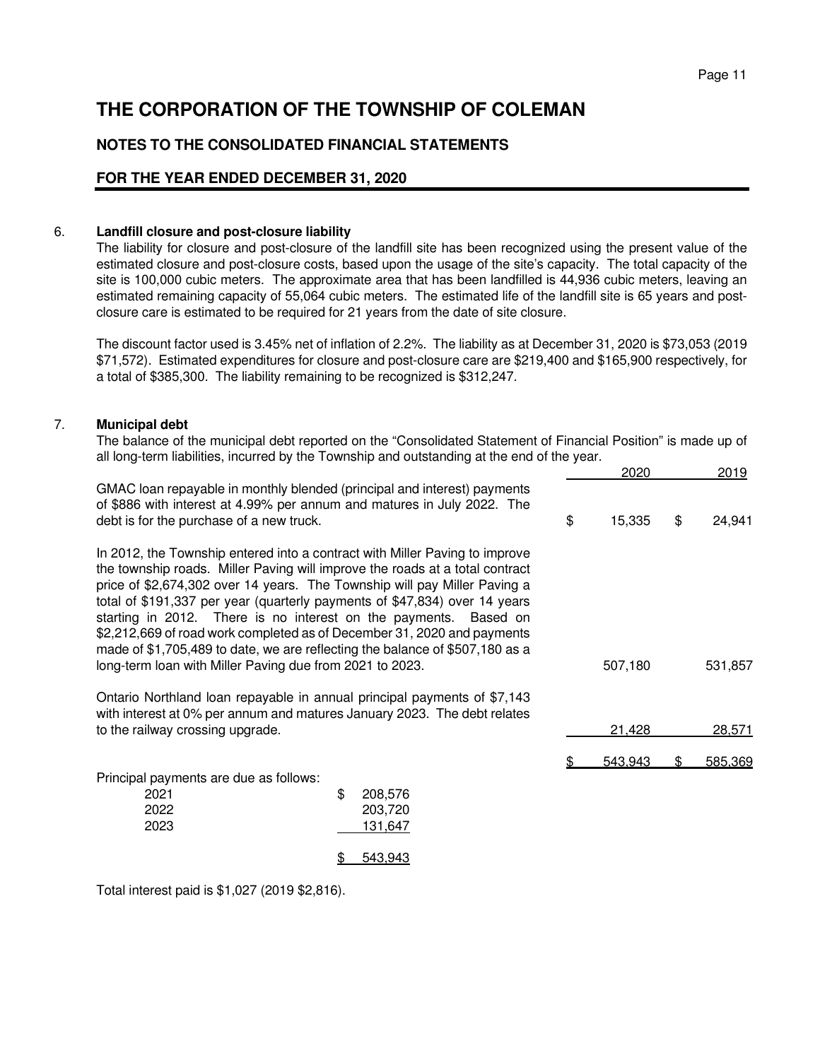# **NOTES TO THE CONSOLIDATED FINANCIAL STATEMENTS**

## **FOR THE YEAR ENDED DECEMBER 31, 2020**

#### 6. **Landfill closure and post-closure liability**

The liability for closure and post-closure of the landfill site has been recognized using the present value of the estimated closure and post-closure costs, based upon the usage of the site's capacity. The total capacity of the site is 100,000 cubic meters. The approximate area that has been landfilled is 44,936 cubic meters, leaving an estimated remaining capacity of 55,064 cubic meters. The estimated life of the landfill site is 65 years and postclosure care is estimated to be required for 21 years from the date of site closure.

The discount factor used is 3.45% net of inflation of 2.2%. The liability as at December 31, 2020 is \$73,053 (2019 \$71,572). Estimated expenditures for closure and post-closure care are \$219,400 and \$165,900 respectively, for a total of \$385,300. The liability remaining to be recognized is \$312,247.

#### 7. **Municipal debt**

The balance of the municipal debt reported on the "Consolidated Statement of Financial Position" is made up of all long-term liabilities, incurred by the Township and outstanding at the end of the year.

|                                                                                                                                                                                                                                                                                                                                                                                                                                                                                                                                                                                                                   |                                     | 2020         | 2019          |
|-------------------------------------------------------------------------------------------------------------------------------------------------------------------------------------------------------------------------------------------------------------------------------------------------------------------------------------------------------------------------------------------------------------------------------------------------------------------------------------------------------------------------------------------------------------------------------------------------------------------|-------------------------------------|--------------|---------------|
| GMAC loan repayable in monthly blended (principal and interest) payments<br>of \$886 with interest at 4.99% per annum and matures in July 2022. The<br>debt is for the purchase of a new truck.                                                                                                                                                                                                                                                                                                                                                                                                                   |                                     | \$<br>15,335 | \$<br>24,941  |
| In 2012, the Township entered into a contract with Miller Paving to improve<br>the township roads. Miller Paving will improve the roads at a total contract<br>price of \$2,674,302 over 14 years. The Township will pay Miller Paving a<br>total of \$191,337 per year (quarterly payments of \$47,834) over 14 years<br>starting in 2012. There is no interest on the payments. Based on<br>\$2,212,669 of road work completed as of December 31, 2020 and payments<br>made of \$1,705,489 to date, we are reflecting the balance of \$507,180 as a<br>long-term loan with Miller Paving due from 2021 to 2023. |                                     | 507,180      | 531,857       |
| Ontario Northland loan repayable in annual principal payments of \$7,143<br>with interest at 0% per annum and matures January 2023. The debt relates<br>to the railway crossing upgrade.                                                                                                                                                                                                                                                                                                                                                                                                                          |                                     | 21,428       | 28,571        |
| Principal payments are due as follows:<br>2021<br>2022<br>2023                                                                                                                                                                                                                                                                                                                                                                                                                                                                                                                                                    | \$<br>208,576<br>203,720<br>131,647 | 543,943      | \$<br>585,369 |
|                                                                                                                                                                                                                                                                                                                                                                                                                                                                                                                                                                                                                   | 543,943<br>\$                       |              |               |

Total interest paid is \$1,027 (2019 \$2,816).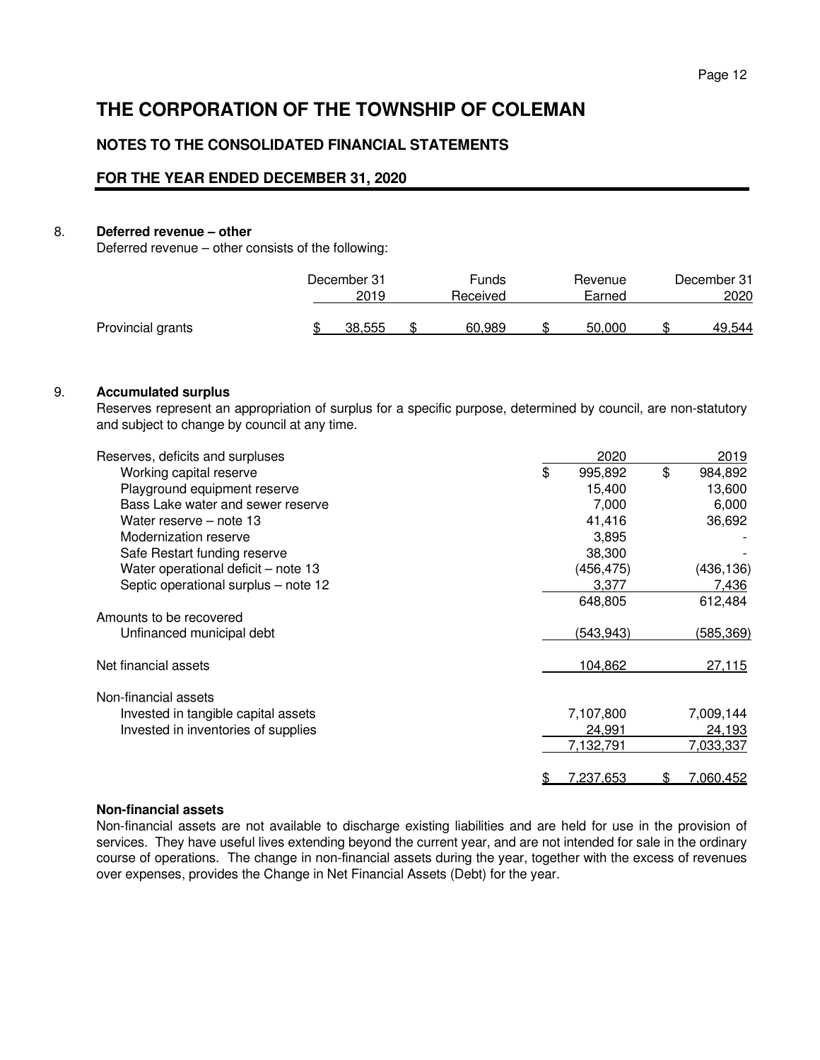## **NOTES TO THE CONSOLIDATED FINANCIAL STATEMENTS**

### **FOR THE YEAR ENDED DECEMBER 31, 2020**

#### 8. **Deferred revenue – other**

Deferred revenue – other consists of the following:

|                   | December 31<br>2019 | Funds<br>Received | Revenue<br>Earned | December 31<br>2020 |
|-------------------|---------------------|-------------------|-------------------|---------------------|
| Provincial grants | 38.555              | 60.989            | 50.000            | 49.544              |

#### 9. **Accumulated surplus**

Reserves represent an appropriation of surplus for a specific purpose, determined by council, are non-statutory and subject to change by council at any time.

| Reserves, deficits and surpluses     | 2020             |     | 2019             |
|--------------------------------------|------------------|-----|------------------|
| Working capital reserve              | \$<br>995,892    | \$  | 984,892          |
| Playground equipment reserve         | 15,400           |     | 13,600           |
| Bass Lake water and sewer reserve    | 7,000            |     | 6,000            |
| Water reserve – note 13              | 41,416           |     | 36,692           |
| Modernization reserve                | 3,895            |     |                  |
| Safe Restart funding reserve         | 38,300           |     |                  |
| Water operational deficit - note 13  | (456,475)        |     | (436, 136)       |
| Septic operational surplus - note 12 | 3,377            |     | 7,436            |
|                                      | 648,805          |     | 612,484          |
| Amounts to be recovered              |                  |     |                  |
| Unfinanced municipal debt            | (543,943)        |     | (585,369)        |
| Net financial assets                 | 104,862          |     | 27,115           |
| Non-financial assets                 |                  |     |                  |
| Invested in tangible capital assets  | 7,107,800        |     | 7,009,144        |
| Invested in inventories of supplies  | 24,991           |     | 24,193           |
|                                      | 7,132,791        |     | 7,033,337        |
|                                      | <u>7,237,653</u> | \$. | <u>7,060,452</u> |

#### **Non-financial assets**

Non-financial assets are not available to discharge existing liabilities and are held for use in the provision of services. They have useful lives extending beyond the current year, and are not intended for sale in the ordinary course of operations. The change in non-financial assets during the year, together with the excess of revenues over expenses, provides the Change in Net Financial Assets (Debt) for the year.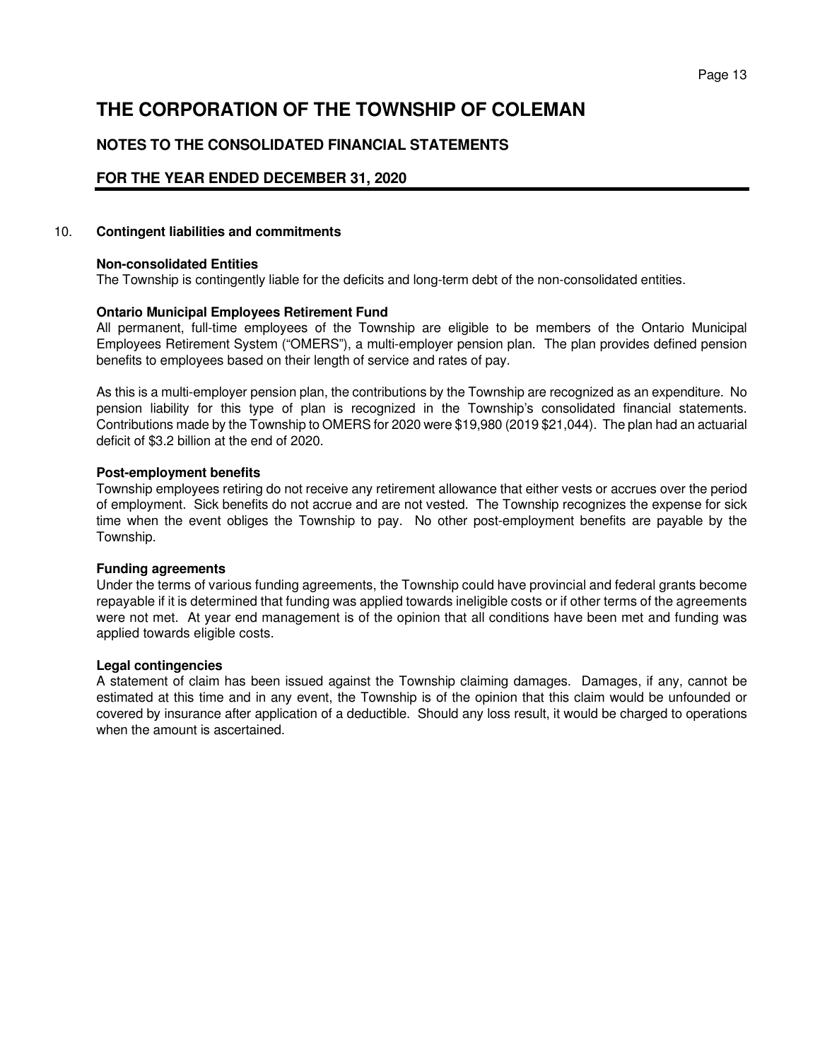# **NOTES TO THE CONSOLIDATED FINANCIAL STATEMENTS**

## **FOR THE YEAR ENDED DECEMBER 31, 2020**

#### 10. **Contingent liabilities and commitments**

#### **Non-consolidated Entities**

The Township is contingently liable for the deficits and long-term debt of the non-consolidated entities.

#### **Ontario Municipal Employees Retirement Fund**

 All permanent, full-time employees of the Township are eligible to be members of the Ontario Municipal Employees Retirement System ("OMERS"), a multi-employer pension plan. The plan provides defined pension benefits to employees based on their length of service and rates of pay.

 As this is a multi-employer pension plan, the contributions by the Township are recognized as an expenditure. No pension liability for this type of plan is recognized in the Township's consolidated financial statements. Contributions made by the Township to OMERS for 2020 were \$19,980 (2019 \$21,044). The plan had an actuarial deficit of \$3.2 billion at the end of 2020.

#### **Post-employment benefits**

Township employees retiring do not receive any retirement allowance that either vests or accrues over the period of employment. Sick benefits do not accrue and are not vested. The Township recognizes the expense for sick time when the event obliges the Township to pay. No other post-employment benefits are payable by the Township.

#### **Funding agreements**

Under the terms of various funding agreements, the Township could have provincial and federal grants become repayable if it is determined that funding was applied towards ineligible costs or if other terms of the agreements were not met. At year end management is of the opinion that all conditions have been met and funding was applied towards eligible costs.

#### **Legal contingencies**

A statement of claim has been issued against the Township claiming damages. Damages, if any, cannot be estimated at this time and in any event, the Township is of the opinion that this claim would be unfounded or covered by insurance after application of a deductible. Should any loss result, it would be charged to operations when the amount is ascertained.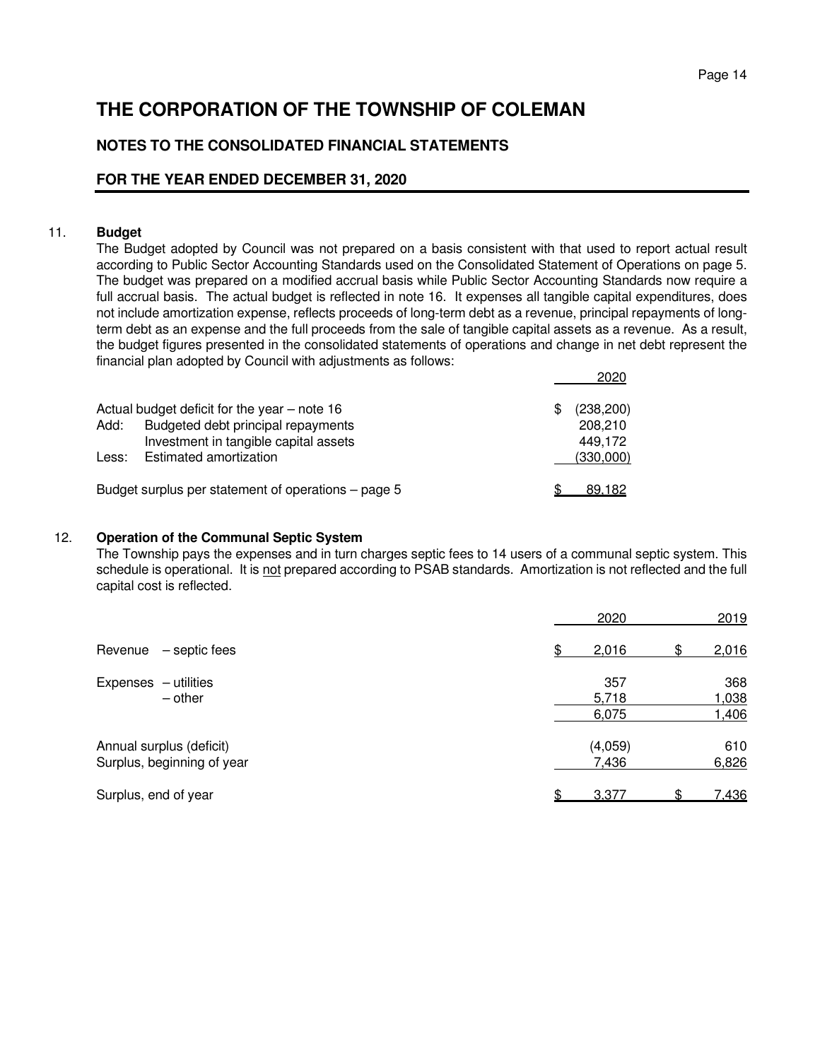# **NOTES TO THE CONSOLIDATED FINANCIAL STATEMENTS**

## **FOR THE YEAR ENDED DECEMBER 31, 2020**

#### 11. **Budget**

 The Budget adopted by Council was not prepared on a basis consistent with that used to report actual result according to Public Sector Accounting Standards used on the Consolidated Statement of Operations on page 5. The budget was prepared on a modified accrual basis while Public Sector Accounting Standards now require a full accrual basis. The actual budget is reflected in note 16. It expenses all tangible capital expenditures, does not include amortization expense, reflects proceeds of long-term debt as a revenue, principal repayments of longterm debt as an expense and the full proceeds from the sale of tangible capital assets as a revenue. As a result, the budget figures presented in the consolidated statements of operations and change in net debt represent the financial plan adopted by Council with adjustments as follows:

|       | Actual budget deficit for the year $-$ note 16      | (238, 200) |
|-------|-----------------------------------------------------|------------|
| Add:  | Budgeted debt principal repayments                  | 208,210    |
|       | Investment in tangible capital assets               | 449.172    |
| Less: | Estimated amortization                              | (330,000)  |
|       | Budget surplus per statement of operations – page 5 | 89.182     |

#### 12. **Operation of the Communal Septic System**

The Township pays the expenses and in turn charges septic fees to 14 users of a communal septic system. This schedule is operational. It is not prepared according to PSAB standards. Amortization is not reflected and the full capital cost is reflected.

|                                                        | 2020                  | 2019                  |
|--------------------------------------------------------|-----------------------|-----------------------|
| - septic fees<br>Revenue                               | 2,016<br>\$<br>\$.    | 2,016                 |
| Expenses - utilities<br>$-$ other                      | 357<br>5,718<br>6,075 | 368<br>1,038<br>1,406 |
| Annual surplus (deficit)<br>Surplus, beginning of year | (4,059)<br>7,436      | 610<br>6,826          |
| Surplus, end of year                                   | 3,377                 | <u>7,436</u>          |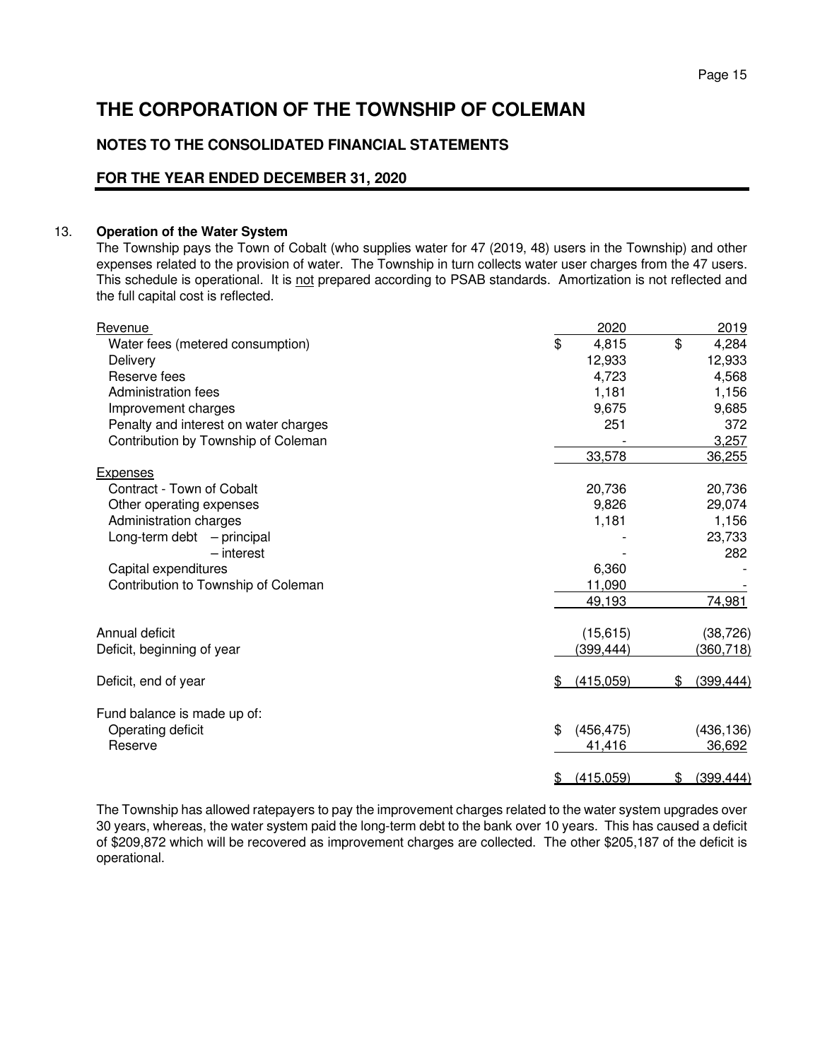# **NOTES TO THE CONSOLIDATED FINANCIAL STATEMENTS**

### **FOR THE YEAR ENDED DECEMBER 31, 2020**

#### 13. **Operation of the Water System**

The Township pays the Town of Cobalt (who supplies water for 47 (2019, 48) users in the Township) and other expenses related to the provision of water. The Township in turn collects water user charges from the 47 users. This schedule is operational. It is not prepared according to PSAB standards. Amortization is not reflected and the full capital cost is reflected.

| Revenue                               | 2020             | 2019             |
|---------------------------------------|------------------|------------------|
| Water fees (metered consumption)      | \$<br>4,815      | \$<br>4,284      |
| Delivery                              | 12,933           | 12,933           |
| Reserve fees                          | 4,723            | 4,568            |
| Administration fees                   | 1,181            | 1,156            |
| Improvement charges                   | 9,675            | 9,685            |
| Penalty and interest on water charges | 251              | 372              |
| Contribution by Township of Coleman   |                  | 3,257            |
|                                       | 33,578           | 36,255           |
| <b>Expenses</b>                       |                  |                  |
| Contract - Town of Cobalt             | 20,736           | 20,736           |
| Other operating expenses              | 9,826            | 29,074           |
| Administration charges                | 1,181            | 1,156            |
| Long-term debt $-$ principal          |                  | 23,733           |
| - interest                            |                  | 282              |
| Capital expenditures                  | 6,360            |                  |
| Contribution to Township of Coleman   | 11,090           |                  |
|                                       | 49,193           | 74,981           |
| Annual deficit                        | (15, 615)        | (38, 726)        |
| Deficit, beginning of year            | (399,444)        | (360, 718)       |
|                                       |                  |                  |
| Deficit, end of year                  | (415,059)<br>\$  | (399, 444)<br>\$ |
| Fund balance is made up of:           |                  |                  |
| Operating deficit                     | \$<br>(456, 475) | (436, 136)       |
| Reserve                               | 41,416           | 36,692           |
|                                       |                  |                  |
|                                       | (415,059)<br>\$  | (399, 444)<br>\$ |

The Township has allowed ratepayers to pay the improvement charges related to the water system upgrades over 30 years, whereas, the water system paid the long-term debt to the bank over 10 years. This has caused a deficit of \$209,872 which will be recovered as improvement charges are collected. The other \$205,187 of the deficit is operational.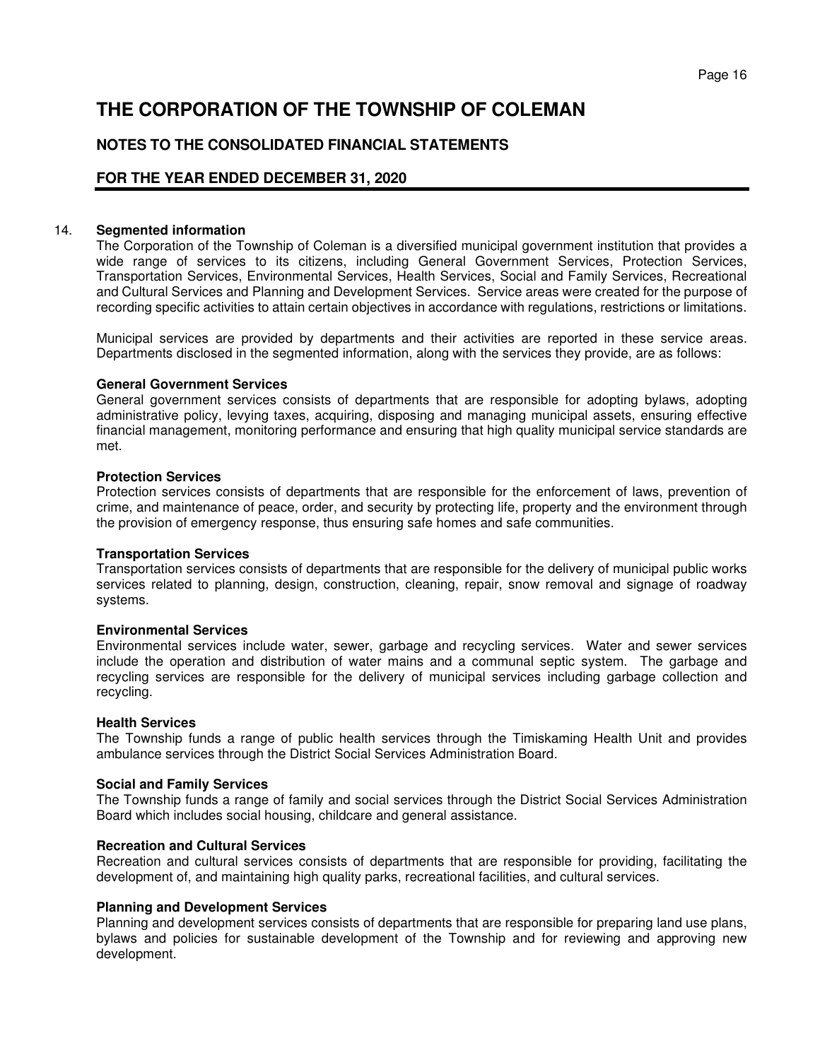# **NOTES TO THE CONSOLIDATED FINANCIAL STATEMENTS**

### **FOR THE YEAR ENDED DECEMBER 31, 2020**

#### 14. **Segmented information**

The Corporation of the Township of Coleman is a diversified municipal government institution that provides a wide range of services to its citizens, including General Government Services, Protection Services, Transportation Services, Environmental Services, Health Services, Social and Family Services, Recreational and Cultural Services and Planning and Development Services. Service areas were created for the purpose of recording specific activities to attain certain objectives in accordance with regulations, restrictions or limitations.

Municipal services are provided by departments and their activities are reported in these service areas. Departments disclosed in the segmented information, along with the services they provide, are as follows:

#### **General Government Services**

General government services consists of departments that are responsible for adopting bylaws, adopting administrative policy, levying taxes, acquiring, disposing and managing municipal assets, ensuring effective financial management, monitoring performance and ensuring that high quality municipal service standards are met.

#### **Protection Services**

Protection services consists of departments that are responsible for the enforcement of laws, prevention of crime, and maintenance of peace, order, and security by protecting life, property and the environment through the provision of emergency response, thus ensuring safe homes and safe communities.

#### **Transportation Services**

Transportation services consists of departments that are responsible for the delivery of municipal public works services related to planning, design, construction, cleaning, repair, snow removal and signage of roadway systems.

#### **Environmental Services**

Environmental services include water, sewer, garbage and recycling services. Water and sewer services include the operation and distribution of water mains and a communal septic system. The garbage and recycling services are responsible for the delivery of municipal services including garbage collection and recycling.

#### **Health Services**

The Township funds a range of public health services through the Timiskaming Health Unit and provides ambulance services through the District Social Services Administration Board.

#### **Social and Family Services**

The Township funds a range of family and social services through the District Social Services Administration Board which includes social housing, childcare and general assistance.

#### **Recreation and Cultural Services**

Recreation and cultural services consists of departments that are responsible for providing, facilitating the development of, and maintaining high quality parks, recreational facilities, and cultural services.

#### **Planning and Development Services**

Planning and development services consists of departments that are responsible for preparing land use plans, bylaws and policies for sustainable development of the Township and for reviewing and approving new development.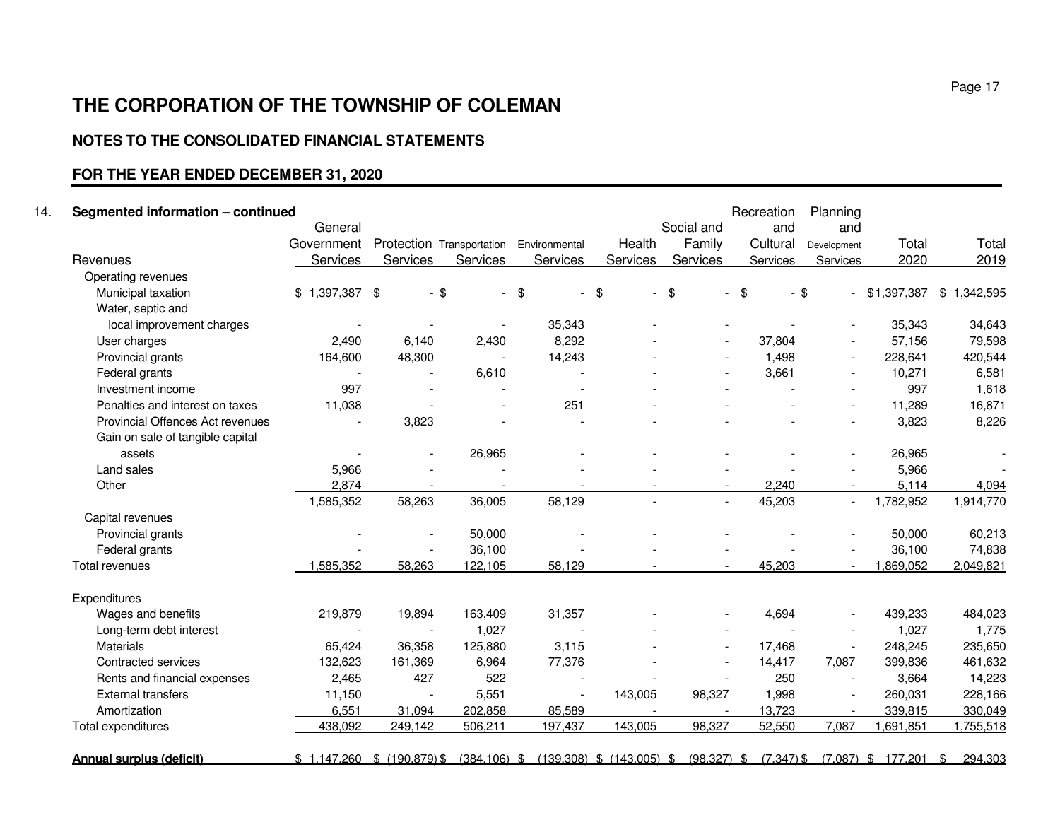# **NOTES TO THE CONSOLIDATED FINANCIAL STATEMENTS**

# **FOR THE YEAR ENDED DECEMBER 31, 2020**

| Segmented information - continued |                 |                                         |                          |          |                          |                                 | Recreation | Planning    |                 |             |
|-----------------------------------|-----------------|-----------------------------------------|--------------------------|----------|--------------------------|---------------------------------|------------|-------------|-----------------|-------------|
|                                   | General         |                                         |                          |          |                          | Social and                      | and        | and         |                 |             |
|                                   | Government      | Protection Transportation Environmental |                          |          | Health                   | Family                          | Cultural   | Development | Total           | Total       |
| Revenues                          | Services        | Services                                | Services                 | Services | Services                 | Services                        | Services   | Services    | 2020            | 2019        |
| Operating revenues                |                 |                                         |                          |          |                          |                                 |            |             |                 |             |
| Municipal taxation                | $$1,397,387$ \$ | $-$ \$                                  | $\overline{\phantom{0}}$ | \$       | \$<br>$\blacksquare$     | $\frac{1}{2}$<br>$\blacksquare$ | \$         | $-$ \$      | $-$ \$1,397,387 | \$1,342,595 |
| Water, septic and                 |                 |                                         |                          |          |                          |                                 |            |             |                 |             |
| local improvement charges         |                 |                                         |                          | 35,343   |                          |                                 |            |             | 35,343          | 34,643      |
| User charges                      | 2,490           | 6,140                                   | 2,430                    | 8,292    |                          |                                 | 37,804     |             | 57,156          | 79,598      |
| Provincial grants                 | 164,600         | 48,300                                  |                          | 14,243   |                          |                                 | 1,498      | $\sim$      | 228,641         | 420,544     |
| Federal grants                    |                 |                                         | 6,610                    |          |                          |                                 | 3,661      |             | 10,271          | 6,581       |
| Investment income                 | 997             |                                         |                          |          |                          |                                 |            |             | 997             | 1,618       |
| Penalties and interest on taxes   | 11,038          |                                         |                          | 251      |                          |                                 |            |             | 11,289          | 16,871      |
| Provincial Offences Act revenues  |                 | 3,823                                   |                          |          |                          |                                 |            |             | 3,823           | 8,226       |
| Gain on sale of tangible capital  |                 |                                         |                          |          |                          |                                 |            |             |                 |             |
| assets                            |                 |                                         | 26,965                   |          |                          |                                 |            |             | 26,965          |             |
| Land sales                        | 5,966           |                                         |                          |          |                          |                                 |            |             | 5,966           |             |
| Other                             | 2,874           |                                         |                          |          |                          | $\overline{\phantom{0}}$        | 2,240      |             | 5,114           | 4,094       |
|                                   | 1,585,352       | 58,263                                  | 36,005                   | 58,129   | $\overline{\phantom{a}}$ | $\blacksquare$                  | 45,203     | $\sim$      | 1,782,952       | 1,914,770   |
| Capital revenues                  |                 |                                         |                          |          |                          |                                 |            |             |                 |             |
| Provincial grants                 |                 |                                         | 50,000                   |          |                          |                                 |            |             | 50,000          | 60,213      |
| Federal grants                    |                 |                                         | 36,100                   |          |                          |                                 |            |             | 36,100          | 74,838      |
| Total revenues                    | 1,585,352       | 58,263                                  | 122,105                  | 58,129   |                          | $\overline{\phantom{a}}$        | 45,203     |             | 1,869,052       | 2,049,821   |
| Expenditures                      |                 |                                         |                          |          |                          |                                 |            |             |                 |             |
| Wages and benefits                | 219,879         | 19,894                                  | 163,409                  | 31,357   |                          |                                 | 4,694      |             | 439,233         | 484,023     |
| Long-term debt interest           |                 |                                         | 1,027                    |          |                          |                                 |            |             | 1,027           | 1,775       |
| <b>Materials</b>                  | 65,424          | 36,358                                  | 125,880                  | 3,115    |                          |                                 | 17,468     |             | 248,245         | 235,650     |
| Contracted services               | 132,623         | 161,369                                 | 6,964                    | 77,376   |                          |                                 | 14,417     | 7,087       | 399,836         | 461,632     |
| Rents and financial expenses      | 2,465           | 427                                     | 522                      |          |                          |                                 | 250        |             | 3,664           | 14,223      |
| <b>External transfers</b>         | 11,150          |                                         | 5,551                    |          | 143,005                  | 98,327                          | 1,998      |             | 260,031         | 228,166     |
| Amortization                      | 6,551           | 31,094                                  | 202,858                  | 85,589   |                          |                                 | 13,723     |             | 339,815         | 330,049     |
| Total expenditures                | 438,092         | 249,142                                 | 506,211                  | 197,437  | 143,005                  | 98,327                          | 52,550     | 7,087       | 1,691,851       | 1,755,518   |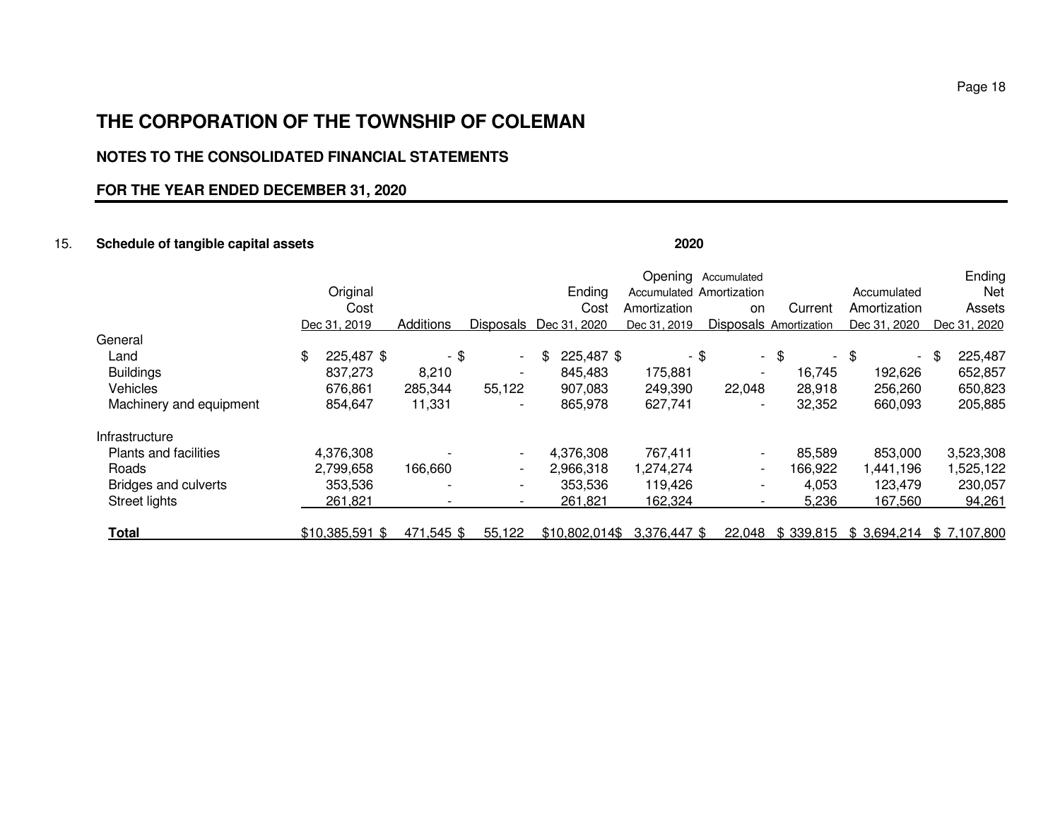# **NOTES TO THE CONSOLIDATED FINANCIAL STATEMENTS**

### **FOR THE YEAR ENDED DECEMBER 31, 2020**

#### 15. **Schedule of tangible capital assets 2020**

Opening Accumulated **Ending** Net Original Ending Accumulated Amortizationion Mccumulated Net<br>The Current Amortization Assets Cost Cost Amortization on Current Amortization Assets Dec 31, 2019 Additions Disposals Dec 31, 2020 Dec 31, 2019 Disposals Amortization Dec 31, 2020 Dec 31, 2020 **General**  Land \$ 225,487 \$ - \$ - \$ 225,487 \$ - \$ - \$ - \$ - \$ 225,487 652,857 Buildings 837,273 8,210 - 845,483 175,881 - 16,745 192,626 652,857 650,823 Vehicles 676,861 285,344 55,122 907,083 249,390 22,048 28,918 256,260 650,823 205,885 Machinery and equipment 854,647 11,331 - 865,978 627,741 - 32,352 660,093 Infrastructure Plants and facilities **4,376,308** - - 4,376,308 767,411 - 85,589 853,000 3,523,308 1,525,122 Roads 2,799,658 166,660 - 2,966,318 1,274,274 - 166,922 1,441,196 1,525,122 Bridges and culverts 353,536 - - 353,536 119,426 - 4,053 123,479 230,057 94,261 Street lights <u> 261,821 - - 261,821 162,324 - 5,236 167,560 94,261</u> **Total** \$10,385,591 \$ 471,545 \$ 55,122 \$10,802,014\$ 3,376,447 \$ 22,048 \$ 339,815 \$ 3,694,214 \$ 7,107,800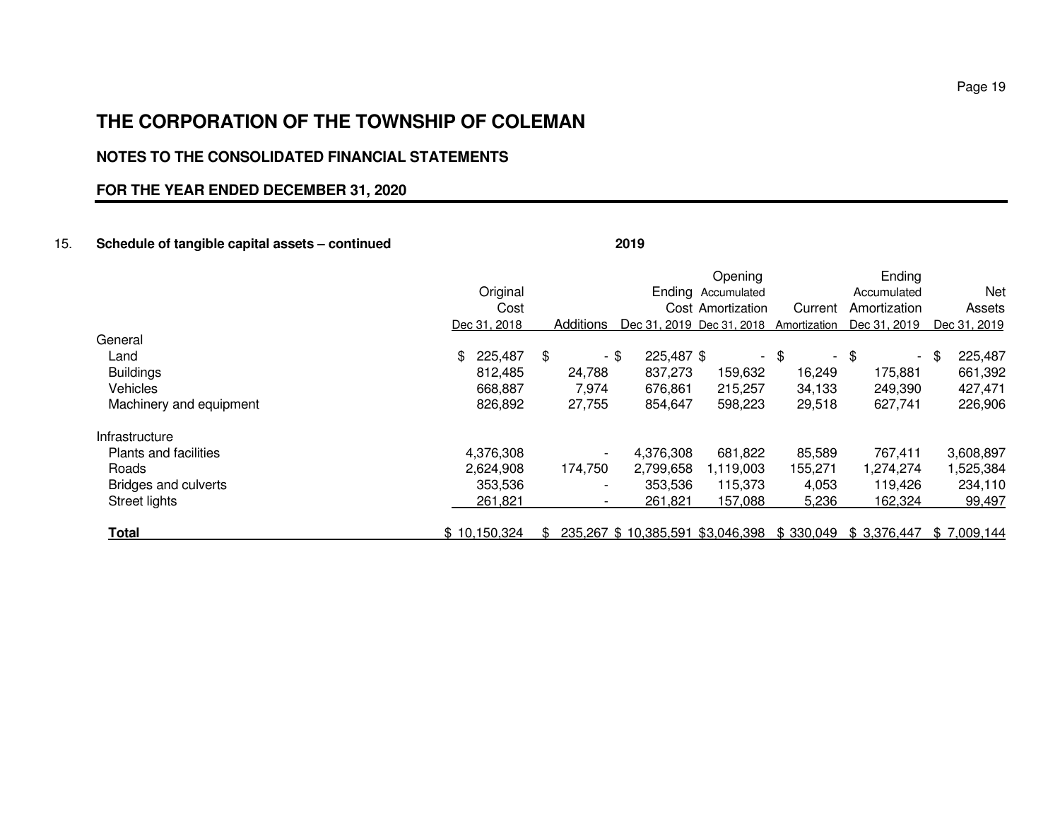# **NOTES TO THE CONSOLIDATED FINANCIAL STATEMENTS**

# **FOR THE YEAR ENDED DECEMBER 31, 2020**

### 15. **Schedule of tangible capital assets – continued 2019**

|                              |                |     |                          |                    | Opening                   |                                | Ending                                                 |                 |
|------------------------------|----------------|-----|--------------------------|--------------------|---------------------------|--------------------------------|--------------------------------------------------------|-----------------|
|                              | Original       |     |                          |                    | Ending Accumulated        |                                | Accumulated                                            | Net             |
|                              | Cost           |     |                          |                    | Cost Amortization         | Current                        | Amortization                                           | Assets          |
|                              | Dec 31, 2018   |     | Additions                |                    | Dec 31, 2019 Dec 31, 2018 | Amortization                   | Dec 31, 2019                                           | Dec 31, 2019    |
| General                      |                |     |                          |                    |                           |                                |                                                        |                 |
| Land                         | 225,487<br>\$. | \$  |                          | - \$<br>225,487 \$ | $\sim$                    | \$<br>$\overline{\phantom{a}}$ | \$<br>$\sim$                                           | 225,487<br>- \$ |
| <b>Buildings</b>             | 812,485        |     | 24,788                   | 837,273            | 159,632                   | 16,249                         | 175,881                                                | 661,392         |
| <b>Vehicles</b>              | 668,887        |     | 7,974                    | 676,861            | 215,257                   | 34,133                         | 249,390                                                | 427,471         |
| Machinery and equipment      | 826,892        |     | 27,755                   | 854,647            | 598,223                   | 29,518                         | 627,741                                                | 226,906         |
| Infrastructure               |                |     |                          |                    |                           |                                |                                                        |                 |
| <b>Plants and facilities</b> | 4,376,308      |     | $\overline{\phantom{a}}$ | 4,376,308          | 681,822                   | 85,589                         | 767,411                                                | 3,608,897       |
| Roads                        | 2,624,908      |     | 174,750                  | 2,799,658          | 1,119,003                 | 155,271                        | 1,274,274                                              | 1,525,384       |
| Bridges and culverts         | 353,536        |     | $\overline{\phantom{a}}$ | 353,536            | 115,373                   | 4,053                          | 119.426                                                | 234,110         |
| Street lights                | 261,821        |     | $\overline{\phantom{a}}$ | 261.821            | 157,088                   | 5,236                          | 162,324                                                | 99,497          |
| <b>Total</b>                 | \$10,150,324   | \$. |                          |                    |                           |                                | 235,267 \$10,385,591 \$3,046,398 \$330,049 \$3,376,447 | \$7,009,144     |